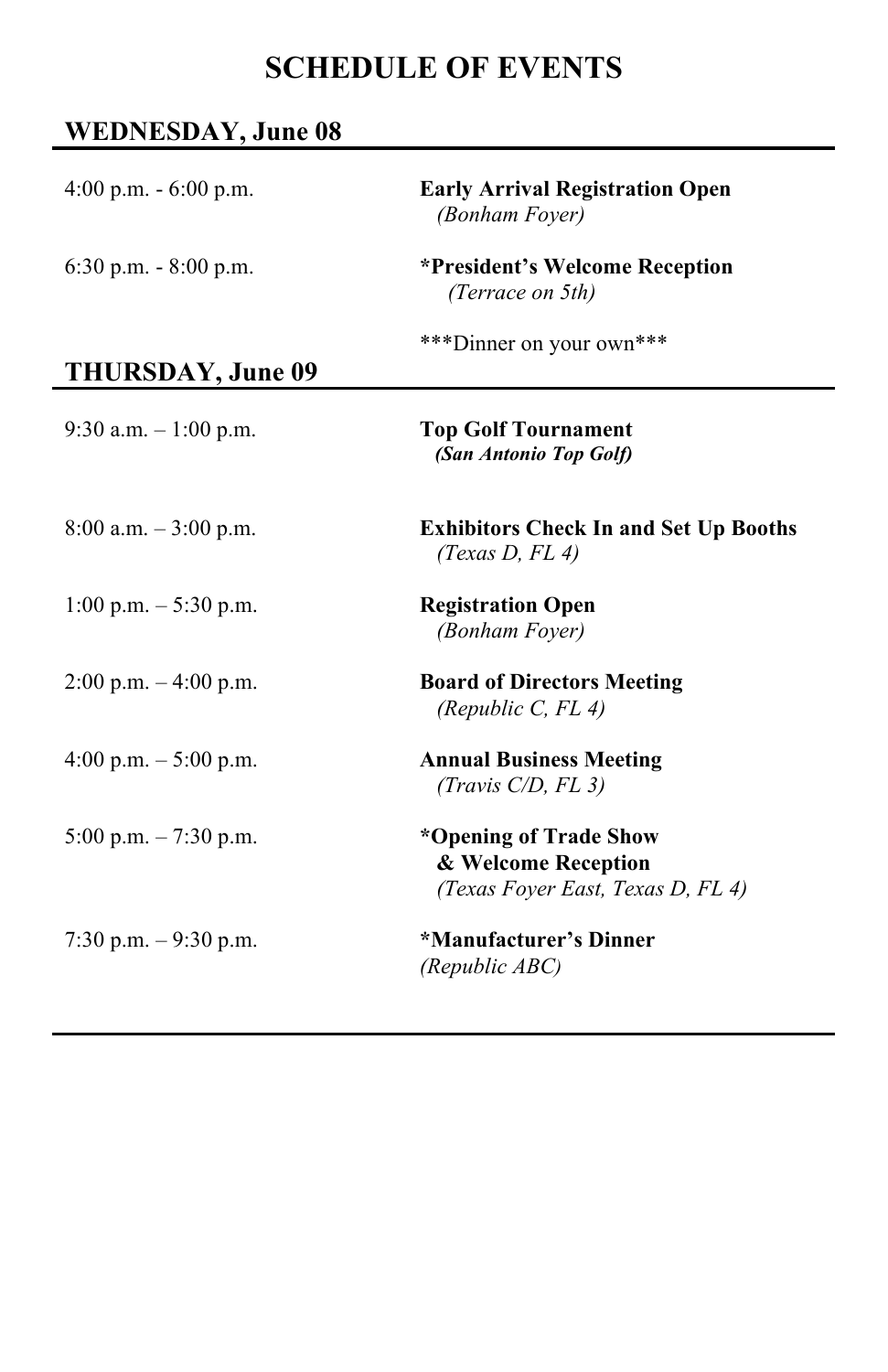# **SCHEDULE OF EVENTS**

### **WEDNESDAY, June 08**

| 4:00 p.m. $-6:00$ p.m.   | <b>Early Arrival Registration Open</b><br>(Bonham Foyer)                           |
|--------------------------|------------------------------------------------------------------------------------|
| $6:30$ p.m. $-8:00$ p.m. | *President's Welcome Reception<br>(Terrace on 5th)                                 |
| THURSDAY, June 09        | ***Dinner on your own***                                                           |
| 9:30 a.m. $-1:00$ p.m.   | <b>Top Golf Tournament</b><br>(San Antonio Top Golf)                               |
| $8:00$ a.m. $-3:00$ p.m. | <b>Exhibitors Check In and Set Up Booths</b><br>(Texas $D$ , $FL$ 4)               |
| 1:00 p.m. $-$ 5:30 p.m.  | <b>Registration Open</b><br>(Bonham Foyer)                                         |
| $2:00$ p.m. $-4:00$ p.m. | <b>Board of Directors Meeting</b><br>(Republic C, $FL$ 4)                          |
| 4:00 p.m. $-5:00$ p.m.   | <b>Annual Business Meeting</b><br>(Travis $C/D$ , FL 3)                            |
| 5:00 p.m. $-7:30$ p.m.   | *Opening of Trade Show<br>& Welcome Reception<br>(Texas Foyer East, Texas D, FL 4) |
| 7:30 p.m. $-9:30$ p.m.   | *Manufacturer's Dinner<br>(Republic ABC)                                           |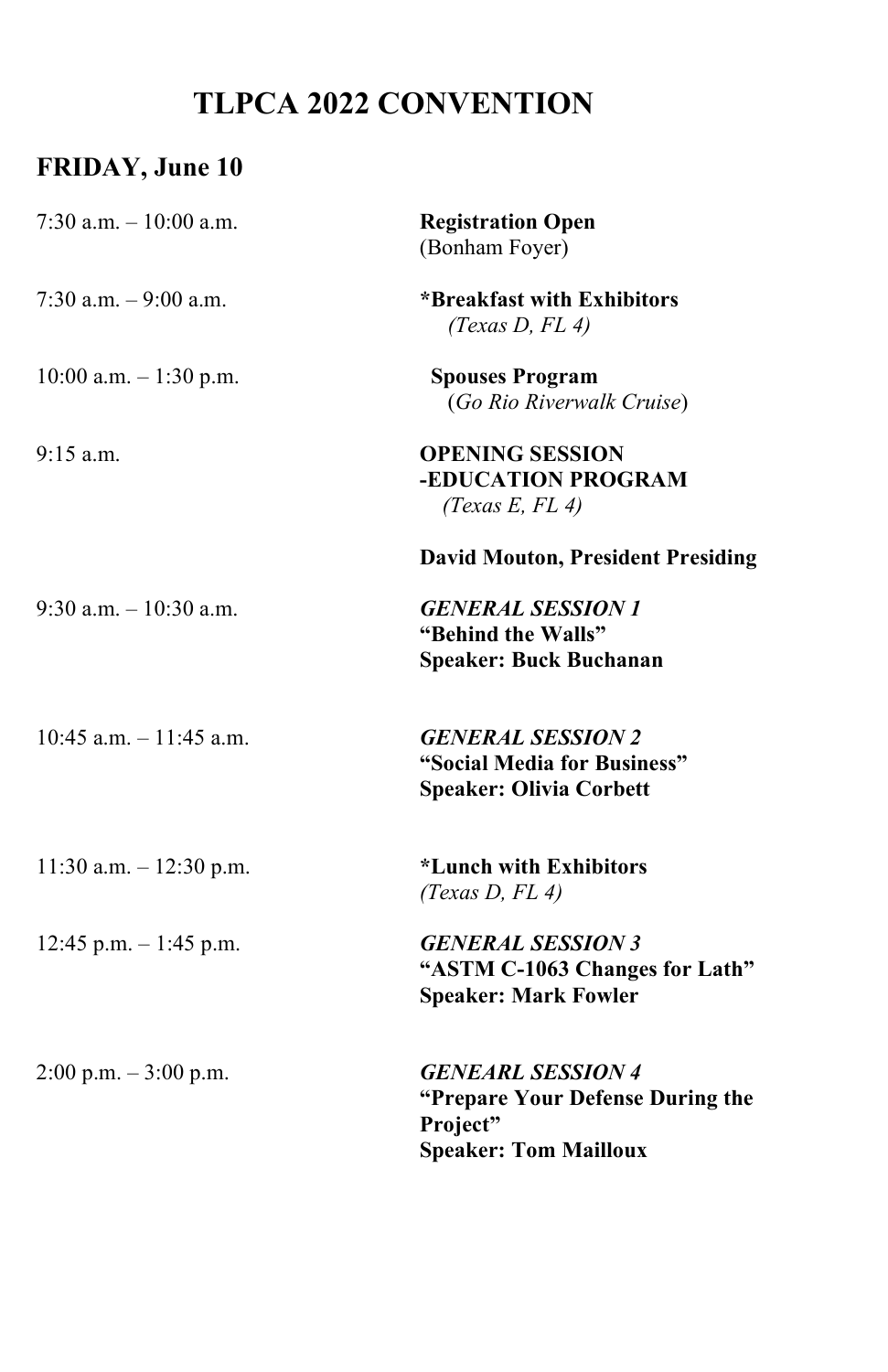# **TLPCA 2022 CONVENTION**

## **FRIDAY, June 10**

| 7:30 a.m. $-10:00$ a.m.   | <b>Registration Open</b><br>(Bonham Foyer)                                                               |
|---------------------------|----------------------------------------------------------------------------------------------------------|
| 7:30 a.m. $-9:00$ a.m.    | *Breakfast with Exhibitors<br>(Texas $D$ , $FL$ 4)                                                       |
| 10:00 a.m. $-1:30$ p.m.   | <b>Spouses Program</b><br>(Go Rio Riverwalk Cruise)                                                      |
| $9:15$ a.m.               | <b>OPENING SESSION</b><br>-EDUCATION PROGRAM<br>(Texas E, FL 4)                                          |
|                           | <b>David Mouton, President Presiding</b>                                                                 |
| $9:30$ a.m. $-10:30$ a.m. | <b>GENERAL SESSION 1</b><br>"Behind the Walls"<br><b>Speaker: Buck Buchanan</b>                          |
| 10:45 a.m. $-11:45$ a.m.  | <b>GENERAL SESSION 2</b><br>"Social Media for Business"<br><b>Speaker: Olivia Corbett</b>                |
| 11:30 a.m. $- 12:30$ p.m. | *Lunch with Exhibitors<br>(Texas $D$ , $FL$ 4)                                                           |
| 12:45 p.m. $-1:45$ p.m.   | <b>GENERAL SESSION 3</b><br>"ASTM C-1063 Changes for Lath"<br><b>Speaker: Mark Fowler</b>                |
| $2:00$ p.m. $-3:00$ p.m.  | <b>GENEARL SESSION 4</b><br>"Prepare Your Defense During the<br>Project"<br><b>Speaker: Tom Mailloux</b> |